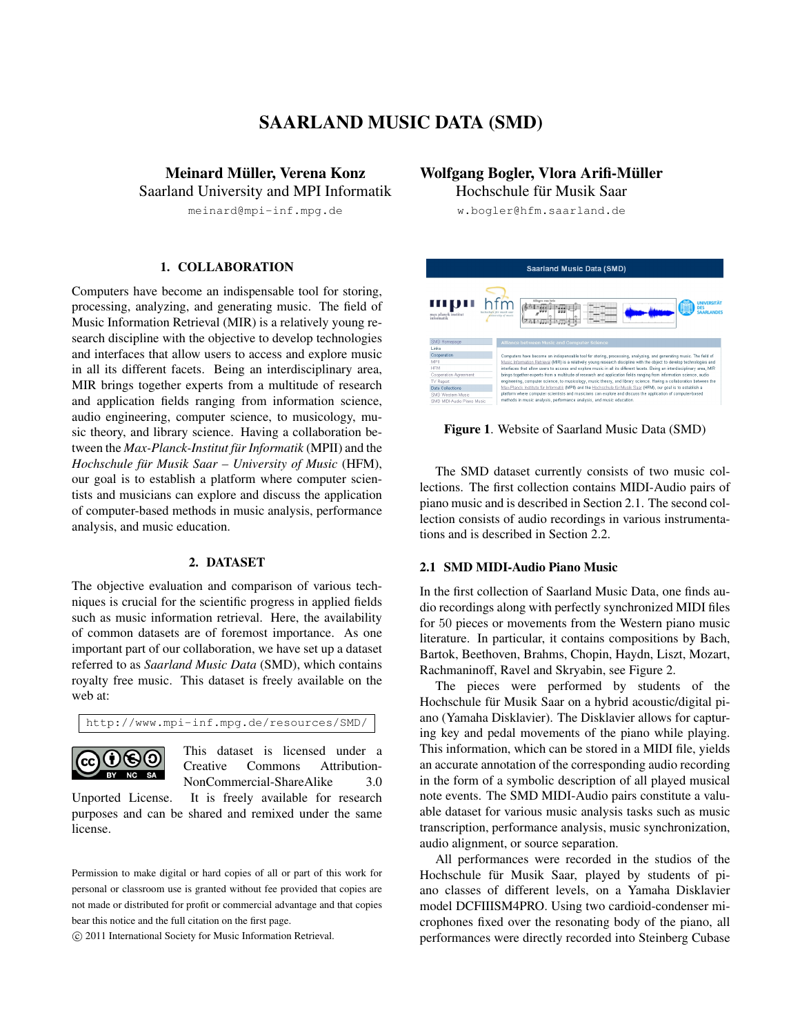# SAARLAND MUSIC DATA (SMD)

Meinard Müller, Verena Konz Saarland University and MPI Informatik

meinard@mpi-inf.mpg.de

### 1. COLLABORATION

Computers have become an indispensable tool for storing, processing, analyzing, and generating music. The field of Music Information Retrieval (MIR) is a relatively young research discipline with the objective to develop technologies and interfaces that allow users to access and explore music in all its different facets. Being an interdisciplinary area, MIR brings together experts from a multitude of research and application fields ranging from information science, audio engineering, computer science, to musicology, music theory, and library science. Having a collaboration between the *Max-Planck-Institut für Informatik* (MPII) and the *Hochschule für Musik Saar – University of Music* (HFM), our goal is to establish a platform where computer scientists and musicians can explore and discuss the application of computer-based methods in music analysis, performance analysis, and music education.

#### 2. DATASET

The objective evaluation and comparison of various techniques is crucial for the scientific progress in applied fields such as music information retrieval. Here, the availability of common datasets are of foremost importance. As one important part of our collaboration, we have set up a dataset referred to as *Saarland Music Data* (SMD), which contains royalty free music. This dataset is freely available on the web at:

http://www.mpi-inf.mpg.de/resources/SMD/



This dataset is licensed under a Creative Commons Attribution-NonCommercial-ShareAlike 3.0

Unported License. It is freely available for research purposes and can be shared and remixed under the same license.

Permission to make digital or hard copies of all or part of this work for personal or classroom use is granted without fee provided that copies are not made or distributed for profit or commercial advantage and that copies bear this notice and the full citation on the first page.

c 2011 International Society for Music Information Retrieval.

## Wolfgang Bogler, Vlora Arifi-Müller

Hochschule für Musik Saar

w.bogler@hfm.saarland.de

| <b>Saarland Music Data (SMD)</b>  |                                                                                                                           |  |  |  |  |  |  |
|-----------------------------------|---------------------------------------------------------------------------------------------------------------------------|--|--|--|--|--|--|
| max planck institut<br>informatik | Allegro con brio<br><b>UNIVERSITÄT</b><br>DES<br><b>SAARLANDES</b><br>불불불<br>anizersity of manic                          |  |  |  |  |  |  |
| SMD Homepage                      | Alliance between Music and Computer Science                                                                               |  |  |  |  |  |  |
| Linke                             |                                                                                                                           |  |  |  |  |  |  |
| Cooperation                       | Computers have become an indispensable tool for storing, processing, analyzing, and generating music. The field of        |  |  |  |  |  |  |
| MPIL                              | Music Information Retrieval (MIR) is a relatively young research discipline with the object to develop technologies and   |  |  |  |  |  |  |
| <b>HFM</b>                        | interfaces that allow users to access and explore music in all its different facets. Being an interdisciplinary area, MIR |  |  |  |  |  |  |
| Cooperation Agreement             | brings together experts from a multitude of research and application fields ranging from information science, audio       |  |  |  |  |  |  |
| TV Report                         | engineering, computer science, to musicology, music theory, and library science. Having a collaboration between the       |  |  |  |  |  |  |
| <b>Data Collections</b>           | Max-Planck Institute für Informatik (MPII) and the Hochschule für Musik Saar (HFM), our goal is to establish a            |  |  |  |  |  |  |
| SMD Western Music                 | platform where computer scientists and musicians can explore and discuss the application of computer-based                |  |  |  |  |  |  |
| SMD MIDI-Audio Piano Music        | methods in music analysis, performance analysis, and music education.                                                     |  |  |  |  |  |  |

Figure 1. Website of Saarland Music Data (SMD)

The SMD dataset currently consists of two music collections. The first collection contains MIDI-Audio pairs of piano music and is described in Section 2.1. The second collection consists of audio recordings in various instrumentations and is described in Section 2.2.

### 2.1 SMD MIDI-Audio Piano Music

In the first collection of Saarland Music Data, one finds audio recordings along with perfectly synchronized MIDI files for 50 pieces or movements from the Western piano music literature. In particular, it contains compositions by Bach, Bartok, Beethoven, Brahms, Chopin, Haydn, Liszt, Mozart, Rachmaninoff, Ravel and Skryabin, see Figure 2.

The pieces were performed by students of the Hochschule für Musik Saar on a hybrid acoustic/digital piano (Yamaha Disklavier). The Disklavier allows for capturing key and pedal movements of the piano while playing. This information, which can be stored in a MIDI file, yields an accurate annotation of the corresponding audio recording in the form of a symbolic description of all played musical note events. The SMD MIDI-Audio pairs constitute a valuable dataset for various music analysis tasks such as music transcription, performance analysis, music synchronization, audio alignment, or source separation.

All performances were recorded in the studios of the Hochschule für Musik Saar, played by students of piano classes of different levels, on a Yamaha Disklavier model DCFIIISM4PRO. Using two cardioid-condenser microphones fixed over the resonating body of the piano, all performances were directly recorded into Steinberg Cubase